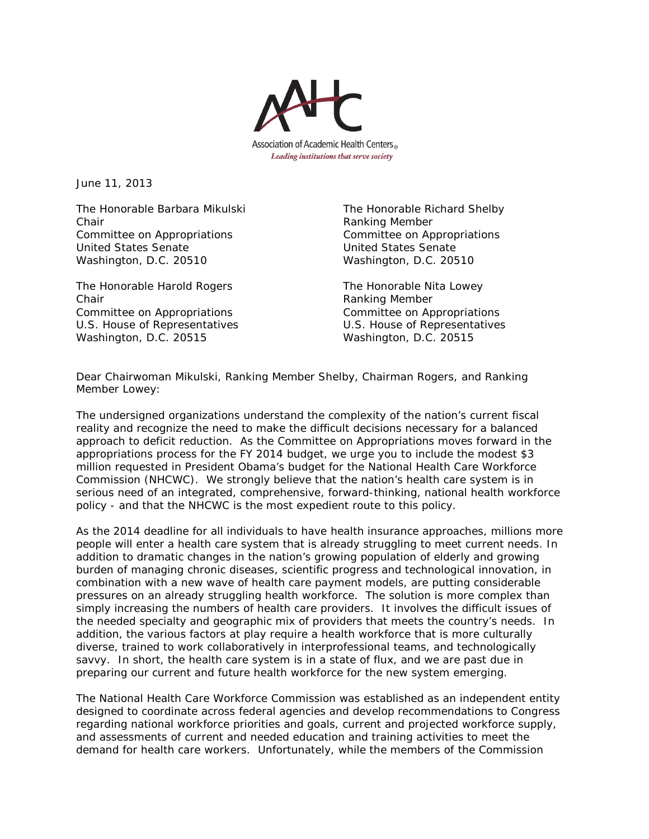

June 11, 2013

The Honorable Barbara Mikulski The Honorable Richard Shelby Chair **Chair** Chair **Ranking Member** Committee on Appropriations Committee on Appropriations United States Senate United States Senate Washington, D.C. 20510 Washington, D.C. 20510

The Honorable Harold Rogers The Honorable Nita Lowey Chair **Chair** Chair **Chair** Chair **Chair** Ranking Member Committee on Appropriations Committee on Appropriations U.S. House of Representatives U.S. House of Representatives Washington, D.C. 20515 Washington, D.C. 20515

Dear Chairwoman Mikulski, Ranking Member Shelby, Chairman Rogers, and Ranking Member Lowey:

The undersigned organizations understand the complexity of the nation's current fiscal reality and recognize the need to make the difficult decisions necessary for a balanced approach to deficit reduction. As the Committee on Appropriations moves forward in the appropriations process for the FY 2014 budget, we urge you to include the modest \$3 million requested in President Obama's budget for the National Health Care Workforce Commission (NHCWC). We strongly believe that the nation's health care system is in serious need of an integrated, comprehensive, forward-thinking, national health workforce policy - and that the NHCWC is the most expedient route to this policy.

As the 2014 deadline for all individuals to have health insurance approaches, millions more people will enter a health care system that is already struggling to meet current needs. In addition to dramatic changes in the nation's growing population of elderly and growing burden of managing chronic diseases, scientific progress and technological innovation, in combination with a new wave of health care payment models, are putting considerable pressures on an already struggling health workforce. The solution is more complex than simply increasing the numbers of health care providers. It involves the difficult issues of the needed specialty and geographic mix of providers that meets the country's needs. In addition, the various factors at play require a health workforce that is more culturally diverse, trained to work collaboratively in interprofessional teams, and technologically savvy. In short, the health care system is in a state of flux, and we are past due in preparing our current and future health workforce for the new system emerging.

The National Health Care Workforce Commission was established as an independent entity designed to coordinate across federal agencies and develop recommendations to Congress regarding national workforce priorities and goals, current and projected workforce supply, and assessments of current and needed education and training activities to meet the demand for health care workers. Unfortunately, while the members of the Commission